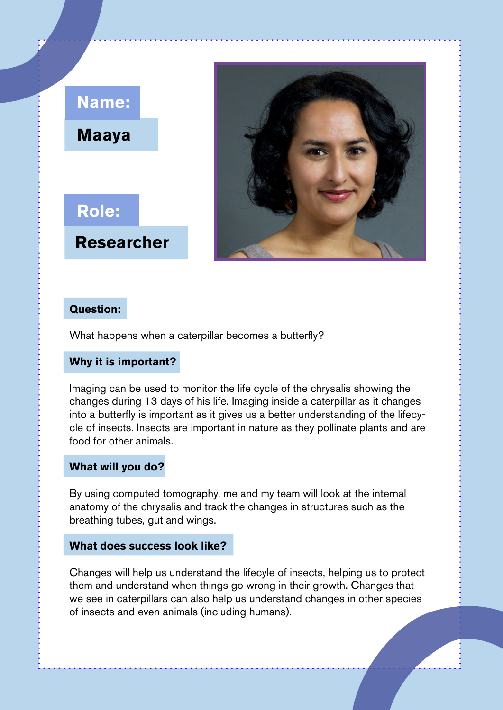# **Maaya Name:**

**Role: Researcher**



### **Question:**

What happens when a caterpillar becomes a butterfly?

### **Why it is important?**

Imaging can be used to monitor the life cycle of the chrysalis showing the changes during 13 days of his life. Imaging inside a caterpillar as it changes into a butterfly is important as it gives us a better understanding of the lifecycle of insects. Insects are important in nature as they pollinate plants and are food for other animals.

### **What will you do?**

By using computed tomography, me and my team will look at the internal anatomy of the chrysalis and track the changes in structures such as the breathing tubes, gut and wings.

### **What does success look like?**

Changes will help us understand the lifecyle of insects, helping us to protect them and understand when things go wrong in their growth. Changes that we see in caterpillars can also help us understand changes in other species of insects and even animals (including humans).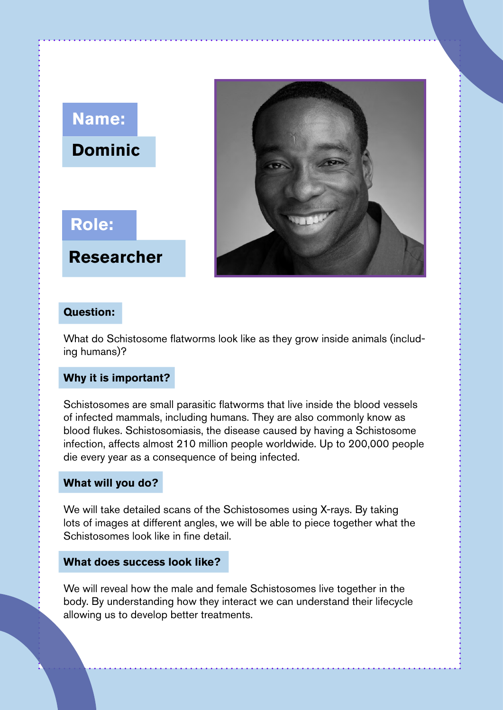## **Dominic Name:**



**Researcher**

### **Question:**

What do Schistosome flatworms look like as they grow inside animals (including humans)?

### **Why it is important?**

Schistosomes are small parasitic flatworms that live inside the blood vessels of infected mammals, including humans. They are also commonly know as blood flukes. Schistosomiasis, the disease caused by having a Schistosome infection, affects almost 210 million people worldwide. Up to 200,000 people die every year as a consequence of being infected.

#### **What will you do?**

We will take detailed scans of the Schistosomes using X-rays. By taking lots of images at different angles, we will be able to piece together what the Schistosomes look like in fine detail.

#### **What does success look like?**

We will reveal how the male and female Schistosomes live together in the body. By understanding how they interact we can understand their lifecycle allowing us to develop better treatments.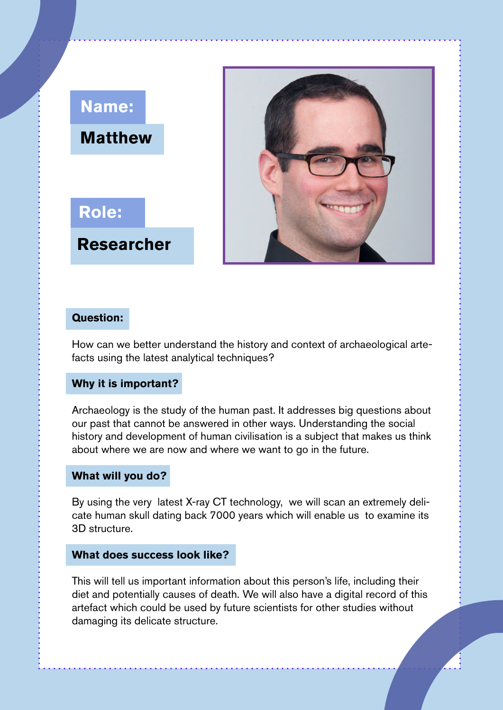

### **Question:**

How can we better understand the history and context of archaeological artefacts using the latest analytical techniques?

### **Why it is important?**

Archaeology is the study of the human past. It addresses big questions about our past that cannot be answered in other ways. Understanding the social history and development of human civilisation is a subject that makes us think about where we are now and where we want to go in the future.

### **What will you do?**

By using the very latest X-ray CT technology, we will scan an extremely delicate human skull dating back 7000 years which will enable us to examine its 3D structure.

### **What does success look like?**

This will tell us important information about this person's life, including their diet and potentially causes of death. We will also have a digital record of this artefact which could be used by future scientists for other studies without damaging its delicate structure.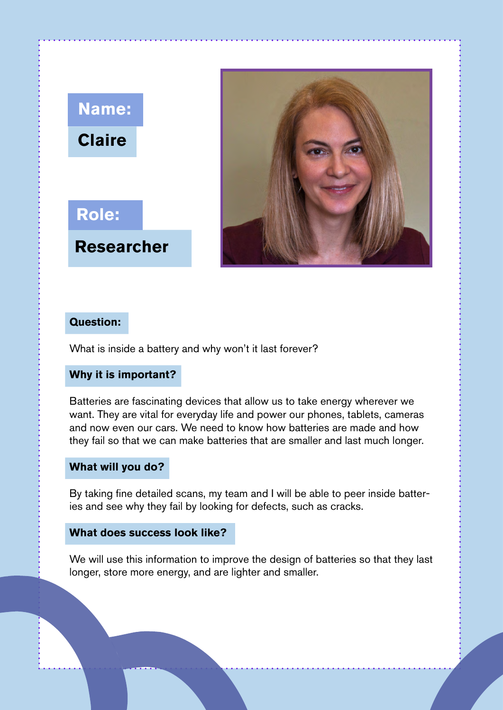# **Claire Name:**





### **Question:**

What is inside a battery and why won't it last forever?

### **Why it is important?**

Batteries are fascinating devices that allow us to take energy wherever we want. They are vital for everyday life and power our phones, tablets, cameras and now even our cars. We need to know how batteries are made and how they fail so that we can make batteries that are smaller and last much longer.

### **What will you do?**

By taking fine detailed scans, my team and I will be able to peer inside batteries and see why they fail by looking for defects, such as cracks.

### **What does success look like?**

We will use this information to improve the design of batteries so that they last longer, store more energy, and are lighter and smaller.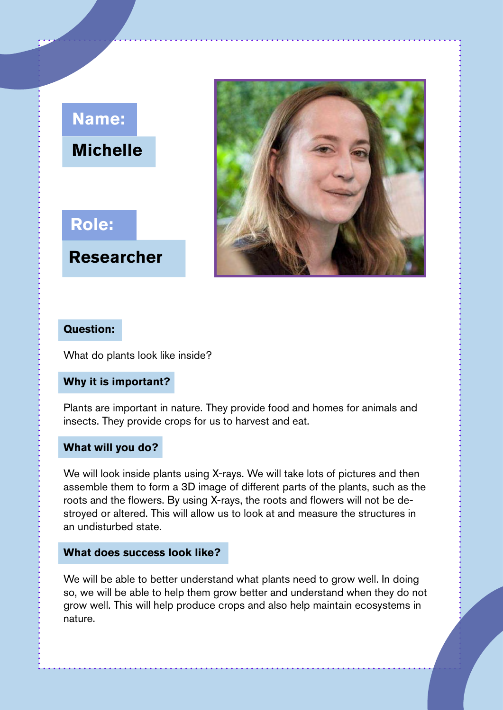# **Michelle Name:**

# **Role:**

**Researcher**



### **Question:**

What do plants look like inside?

### **Why it is important?**

Plants are important in nature. They provide food and homes for animals and insects. They provide crops for us to harvest and eat.

### **What will you do?**

We will look inside plants using X-rays. We will take lots of pictures and then assemble them to form a 3D image of different parts of the plants, such as the roots and the flowers. By using X-rays, the roots and flowers will not be destroyed or altered. This will allow us to look at and measure the structures in an undisturbed state.

#### **What does success look like?**

We will be able to better understand what plants need to grow well. In doing so, we will be able to help them grow better and understand when they do not grow well. This will help produce crops and also help maintain ecosystems in nature.